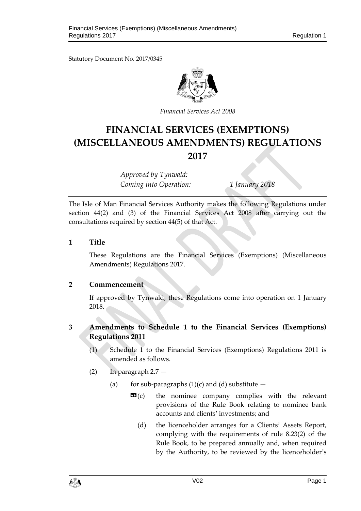Statutory Document No. 2017/0345



*Financial Services Act 2008*

# **FINANCIAL SERVICES (EXEMPTIONS) (MISCELLANEOUS AMENDMENTS) REGULATIONS 2017**

*Approved by Tynwald: Coming into Operation: 1 January 2018*

The Isle of Man Financial Services Authority makes the following Regulations under section 44(2) and (3) of the Financial Services Act 2008 after carrying out the consultations required by section 44(5) of that Act.

**1 Title**

These Regulations are the Financial Services (Exemptions) (Miscellaneous Amendments) Regulations 2017.

### **2 Commencement**

If approved by Tynwald, these Regulations come into operation on 1 January 2018.

## **3 Amendments to Schedule 1 to the Financial Services (Exemptions) Regulations 2011**

- (1) Schedule 1 to the Financial Services (Exemptions) Regulations 2011 is amended as follows.
- (2) In paragraph 2.7
	- (a) for sub-paragraphs  $(1)(c)$  and  $(d)$  substitute  $$ 
		- **the nominee company complies with the relevant** provisions of the Rule Book relating to nominee bank accounts and clients' investments; and
			- (d) the licenceholder arranges for a Clients' Assets Report, complying with the requirements of rule 8.23(2) of the Rule Book, to be prepared annually and, when required by the Authority, to be reviewed by the licenceholder's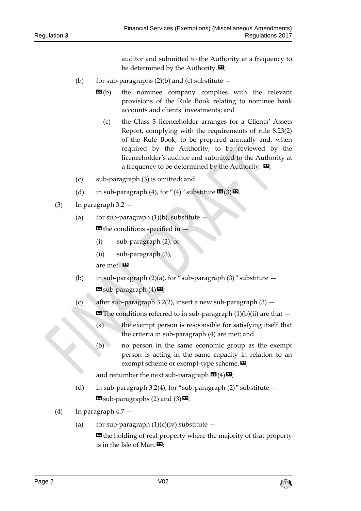auditor and submitted to the Authority at a frequency to be determined by the Authority. $\mathbf{D}$ ;

- (b) for sub-paragraphs  $(2)(b)$  and  $(c)$  substitute  $-$ 
	- **EG**(b) the nominee company complies with the relevant provisions of the Rule Book relating to nominee bank accounts and clients' investments; and
		- (c) the Class 3 licenceholder arranges for a Clients' Assets Report, complying with the requirements of rule 8.23(2) of the Rule Book, to be prepared annually and, when required by the Authority, to be reviewed by the licenceholder's auditor and submitted to the Authority at a frequency to be determined by the Authority.  $\mathbf{E}$ ;
- (c) sub-paragraph (3) is omitted; and
- (d) in sub-paragraph (4), for "(4)" substitute  $\mathbf{C}(\mathbf{3})\mathbf{D}$ .
- (3) In paragraph 3.2
	- (a) for sub-paragraph  $(1)(b)$ , substitute **E** the conditions specified in  $\cdot$ 
		- (i) sub-paragraph (2); or
		- (ii) sub-paragraph (3),

are met.

- (b) in sub-paragraph (2)(a), for "sub-paragraph (3)" substitute  $\mathbf{G}$  sub-paragraph  $(4)$  $\mathbf{E}$ ;
- (c) after sub-paragraph 3.2(2), insert a new sub-paragraph (3) —

**EE** The conditions referred to in sub-paragraph  $(1)(b)(ii)$  are that  $-$ 

- (a) the exempt person is responsible for satisfying itself that the criteria in sub-paragraph (4) are met; and
- (b) no person in the same economic group as the exempt person is acting in the same capacity in relation to an exempt scheme or exempt-type scheme. $\boldsymbol{\mathsf{\Xi}}$ ,

and renumber the next sub-paragraph  $\mathbf{G}(4)$   $\mathbf{E}$ ;

- (d) in sub-paragraph 3.2(4), for "sub-paragraph  $(2)$ " substitute  $\mathbf{G}$  sub-paragraphs (2) and (3) $\mathbf{E}$ .
- (4) In paragraph 4.7
	- (a) for sub-paragraph  $(1)(c)(iv)$  substitute –

**E** the holding of real property where the majority of that property is in the Isle of Man. $\mathbf{E}$ :

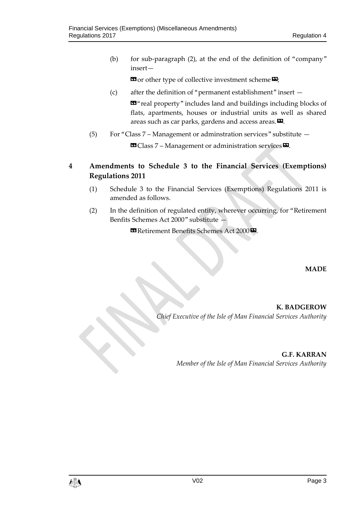(b) for sub-paragraph (2), at the end of the definition of "company" insert—

 $\mathbf{G}$  or other type of collective investment scheme  $\mathbf{E}$ ;

(c) after the definition of "permanent establishment" insert —

«"real property" includes land and buildings including blocks of flats, apartments, houses or industrial units as well as shared areas such as car parks, gardens and access areas. $\boldsymbol{\mathsf{\Xi}}$ .

(5) For "Class 7 – Management or adminstration services" substitute —

 $\blacksquare$  Class 7 – Management or administration services  $\blacksquare$ .

**4 Amendments to Schedule 3 to the Financial Services (Exemptions) Regulations 2011** 

- (1) Schedule 3 to the Financial Services (Exemptions) Regulations 2011 is amended as follows.
- (2) In the definition of regulated entity, wherever occurring, for "Retirement Benfits Schemes Act 2000" substitute —

**B** Retirement Benefits Schemes Act 2000<sup>D</sup>.

**MADE**

**K. BADGEROW** *Chief Executive of the Isle of Man Financial Services Authority*

> **G.F. KARRAN** *Member of the Isle of Man Financial Services Authority*